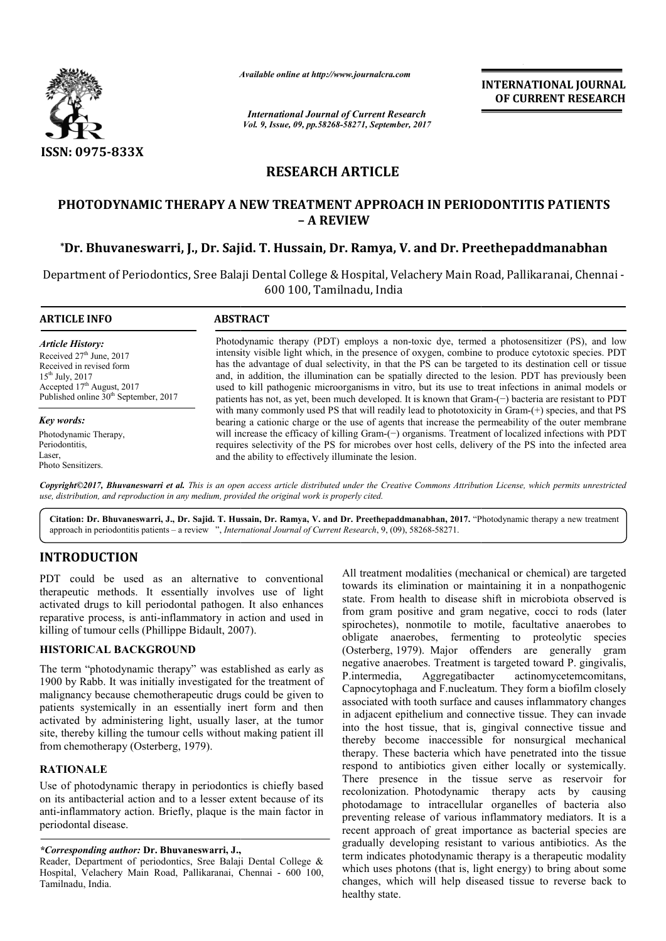

*Available online at http://www.journal http://www.journalcra.com*

*International Journal of Current Research Vol. 9, Issue, 09, pp.58268-58271, September, 2017* **INTERNATIONAL JOURNAL OF CURRENT RESEARCH** 

# **RESEARCH ARTICLE**

## **PHOTODYNAMIC THERAPY A NEW TREATMENT APPROACH IN PERIODONTITIS PATIENTS NEW TREATMENT PERIODONTITIS PATIENTS – A REVIEW**

## **\*Dr. Bhuvaneswarri, J., Dr. Sajid. T. Hussain, Dr. Ramya, V. and Dr. Preethepaddmanabhan**

Department of Periodontics, Sree Balaji Dental College & Hospital, Velachery Main Road, Pallikaranai, Chennai<br>600 100, Tamilnadu, India

| <b>ARTICLE INFO</b>                                                                                                                                                                                      | <b>ABSTRACT</b>                                                                                                                                                                                                                                                                                                                                                                                                                                                                                                                                                                                                                        |
|----------------------------------------------------------------------------------------------------------------------------------------------------------------------------------------------------------|----------------------------------------------------------------------------------------------------------------------------------------------------------------------------------------------------------------------------------------------------------------------------------------------------------------------------------------------------------------------------------------------------------------------------------------------------------------------------------------------------------------------------------------------------------------------------------------------------------------------------------------|
| <b>Article History:</b><br>Received $27th$ June, 2017<br>Received in revised form<br>$15^{th}$ July, 2017<br>Accepted 17 <sup>th</sup> August, 2017<br>Published online 30 <sup>th</sup> September, 2017 | Photodynamic therapy (PDT) employs a non-toxic dye, termed a photosensitizer (PS), and low<br>intensity visible light which, in the presence of oxygen, combine to produce cytotoxic species. PDT<br>has the advantage of dual selectivity, in that the PS can be targeted to its destination cell or tissue<br>and, in addition, the illumination can be spatially directed to the lesion. PDT has previously been<br>used to kill pathogenic microorganisms in vitro, but its use to treat infections in animal models or<br>patients has not, as yet, been much developed. It is known that $Gram(-)$ bacteria are resistant to PDT |
| <b>Key words:</b>                                                                                                                                                                                        | with many commonly used PS that will readily lead to phototoxicity in Gram-(+) species, and that PS<br>bearing a cationic charge or the use of agents that increase the permeability of the outer membrane                                                                                                                                                                                                                                                                                                                                                                                                                             |
| Photodynamic Therapy,                                                                                                                                                                                    | will increase the efficacy of killing Gram-(-) organisms. Treatment of localized infections with PDT                                                                                                                                                                                                                                                                                                                                                                                                                                                                                                                                   |
| Periodontitis.                                                                                                                                                                                           | requires selectivity of the PS for microbes over host cells, delivery of the PS into the infected area                                                                                                                                                                                                                                                                                                                                                                                                                                                                                                                                 |
| Laser,                                                                                                                                                                                                   | and the ability to effectively illuminate the lesion.                                                                                                                                                                                                                                                                                                                                                                                                                                                                                                                                                                                  |
| Photo Sensitizers.                                                                                                                                                                                       |                                                                                                                                                                                                                                                                                                                                                                                                                                                                                                                                                                                                                                        |

*Copyright©2017, Bhuvaneswarri et al. This is an open access article distributed under the Creative Commons Att Attribution License, which ribution permits unrestricted use, distribution, and reproduction in any medium, provided the original work is properly cited.*

Citation: Dr. Bhuvaneswarri, J., Dr. Sajid. T. Hussain, Dr. Ramya, V. and Dr. Preethepaddmanabhan, 2017. "Photodynamic therapy a new treatment approach in periodontitis patients – a review ", *International Journal of Current Research* , 9, (09), 58268-58271.

## **INTRODUCTION**

PDT could be used as an alternative to conventional therapeutic methods. It essentially involves use of light activated drugs to kill periodontal pathogen. It also enhances reparative process, is anti-inflammatory in action and used in reparative process, is anti-inflammatory in actionalistic stilling of tumour cells (Phillippe Bidault, 2007).

### **HISTORICAL BACKGROUND**

The term "photodynamic therapy" was established as early as 1900 by Rabb. It was initially investigated for the treatment of malignancy because chemotherapeutic drugs could be given to patients systemically in an essentially inert form and then activated by administering light, usually laser, at the tumor site, thereby killing the tumour cells without making patient ill from chemotherapy (Osterberg, 1979).

### **RATIONALE**

Use of photodynamic therapy in periodontics is chiefly based on its antibacterial action and to a lesser extent because of its anti-inflammatory action. Briefly, plaque is the main factor in periodontal disease. entially in an essentially inert form and then<br>ated by administering light, usually laser, at the tumor<br>thereby killing the tumour cells without making patient ill<br>i chemotherapy (Osterberg, 1979).<br>**CIONALE**<br>of photodynami All treatment modalities (mechanical or chemical) are targeted towards its elimination or maintaining it in a nonpathogenic state. From health to disease shift in microbiota observed is from gram positive and gram negative, cocci to rods (later spirochetes), nonmotile to motile, facultative anaerobes to obligate anaerobes, fermenting to proteolytic species (Osterberg, 1979). Major offenders are generally gram negative anaerobes. Treatment is targeted toward P. P.intermedia, Aggregatibacter Capnocytophaga and F.nucleatum. They form a biofilm closely associated with tooth surface and causes inflammatory changes in adjacent epithelium and connective tissue. They can invade into the host tissue, that is, gingival connective tissue and thereby become inaccessible for nonsurgical mechanical therapy. These bacteria which have penetrated into the tissue respond to antibiotics given either locally or systemically. There presence in the tissue serve as reservoir for recolonization. Photodynamic therapy acts by causing photodamage to intracellular organelles of bacteria also preventing release of various inflammatory mediators. It is a recent approach of great importance as bacterial species are gradually developing resistant to various antibiotics. As the term indicates photodynamic therapy is a therapeutic modality which uses photons (that is, light energy) to bring about some changes, which will help diseased tissue to reverse back to healthy state. nt modalities (mechanical or chemical) are targeted<br>
elimination or maintaining it in a nonpathogenic<br>
1 health to disease shift in microbiota observed is<br>
positive and gram negative, cocci to rods (later<br>
1, nonmotile to actinomycetemcomitans, ocytophaga and F.nucleatum. They form a biofilm closely iated with tooth surface and causes inflammatory changes jacent epithelium and connective tissue. They can invade the host tissue, that is, gingival connective tissue thereby become inaccessible for nonsurgical mechanical<br>therapy. These bacteria which have penetrated into the tissue<br>respond to antibiotics given either locally or systemically.<br>There presence in the tissue serve as reserv **INTERNATIONAL JOURNAL<br>
Trent Research <b>COF CURRENT RESEARCH**<br> **COF CURRENT RESEARCH**<br> **COF CURRENT RESEARCH**<br> **COF CURRENT RESEARCH**<br> **COF CURRENT RESEARCH**<br> **COF CORRENT RESEARCH**<br> **COF CORRENT RESEARCH**<br> **COF CORRENT R** 

*<sup>\*</sup>Corresponding author:* **Dr. Bhuvaneswarri, J.,** 

Reader, Department of periodontics, Sree Balaji Dental College & Hospital, Velachery Main Road, Pallikaranai, Chennai - 600 100, Tamilnadu, India.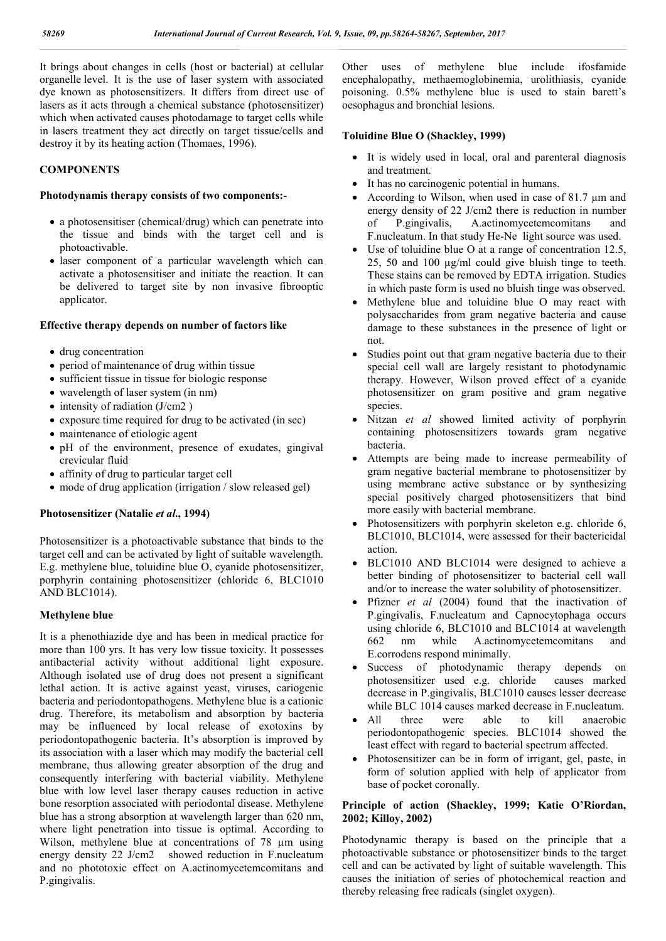It brings about changes in cells (host or bacterial) at cellular organelle level. It is the use of laser system with associated dye known as photosensitizers. It differs from direct use of lasers as it acts through a chemical substance (photosensitizer) which when activated causes photodamage to target cells while in lasers treatment they act directly on target tissue/cells and destroy it by its heating action (Thomaes, 1996).

### **COMPONENTS**

#### **Photodynamis therapy consists of two components:-**

- a photosensitiser (chemical/drug) which can penetrate into the tissue and binds with the target cell and is photoactivable.
- laser component of a particular wavelength which can activate a photosensitiser and initiate the reaction. It can be delivered to target site by non invasive fibrooptic applicator.

#### **Effective therapy depends on number of factors like**

- drug concentration
- period of maintenance of drug within tissue
- sufficient tissue in tissue for biologic response
- wavelength of laser system (in nm)
- $\bullet$  intensity of radiation (J/cm2)
- exposure time required for drug to be activated (in sec)
- maintenance of etiologic agent
- $\bullet$  pH of the environment, presence of exudates, gingival crevicular fluid
- affinity of drug to particular target cell
- mode of drug application (irrigation / slow released gel)

### **Photosensitizer (Natalie** *et al***., 1994)**

Photosensitizer is a photoactivable substance that binds to the target cell and can be activated by light of suitable wavelength. E.g. methylene blue, toluidine blue O, cyanide photosensitizer, porphyrin containing photosensitizer (chloride 6, BLC1010 AND BLC1014).

### **Methylene blue**

It is a phenothiazide dye and has been in medical practice for more than 100 yrs. It has very low tissue toxicity. It possesses antibacterial activity without additional light exposure. Although isolated use of drug does not present a significant lethal action. It is active against yeast, viruses, cariogenic bacteria and periodontopathogens. Methylene blue is a cationic drug. Therefore, its metabolism and absorption by bacteria may be influenced by local release of exotoxins by periodontopathogenic bacteria. It's absorption is improved by its association with a laser which may modify the bacterial cell membrane, thus allowing greater absorption of the drug and consequently interfering with bacterial viability. Methylene blue with low level laser therapy causes reduction in active bone resorption associated with periodontal disease. Methylene blue has a strong absorption at wavelength larger than 620 nm, where light penetration into tissue is optimal. According to Wilson, methylene blue at concentrations of 78  $\mu$ m using energy density 22 J/cm2 showed reduction in F.nucleatum and no phototoxic effect on A.actinomycetemcomitans and P.gingivalis.

Other uses of methylene blue include ifosfamide encephalopathy, methaemoglobinemia, urolithiasis, cyanide poisoning. 0.5% methylene blue is used to stain barett's oesophagus and bronchial lesions.

### **Toluidine Blue O (Shackley, 1999)**

- It is widely used in local, oral and parenteral diagnosis and treatment.
- It has no carcinogenic potential in humans.
- According to Wilson, when used in case of 81.7 µm and energy density of 22 J/cm2 there is reduction in number of P.gingivalis, A.actinomycetemcomitans and F.nucleatum. In that study He-Ne light source was used.
- Use of toluidine blue O at a range of concentration 12.5, 25, 50 and 100 µg/ml could give bluish tinge to teeth. These stains can be removed by EDTA irrigation. Studies in which paste form is used no bluish tinge was observed.
- Methylene blue and toluidine blue O may react with polysaccharides from gram negative bacteria and cause damage to these substances in the presence of light or not.
- Studies point out that gram negative bacteria due to their special cell wall are largely resistant to photodynamic therapy. However, Wilson proved effect of a cyanide photosensitizer on gram positive and gram negative species.
- Nitzan *et al* showed limited activity of porphyrin containing photosensitizers towards gram negative bacteria.
- Attempts are being made to increase permeability of gram negative bacterial membrane to photosensitizer by using membrane active substance or by synthesizing special positively charged photosensitizers that bind more easily with bacterial membrane.
- Photosensitizers with porphyrin skeleton e.g. chloride 6, BLC1010, BLC1014, were assessed for their bactericidal action.
- BLC1010 AND BLC1014 were designed to achieve a better binding of photosensitizer to bacterial cell wall and/or to increase the water solubility of photosensitizer.
- Pfizner *et al* (2004) found that the inactivation of P.gingivalis, F.nucleatum and Capnocytophaga occurs using chloride 6, BLC1010 and BLC1014 at wavelength 662 nm while A.actinomycetemcomitans and E.corrodens respond minimally.
- Success of photodynamic therapy depends on photosensitizer used e.g. chloride causes marked decrease in P.gingivalis, BLC1010 causes lesser decrease while BLC 1014 causes marked decrease in F.nucleatum.
- All three were able to kill anaerobic periodontopathogenic species. BLC1014 showed the least effect with regard to bacterial spectrum affected.
- Photosensitizer can be in form of irrigant, gel, paste, in form of solution applied with help of applicator from base of pocket coronally.

### **Principle of action (Shackley, 1999; Katie O'Riordan, 2002; Killoy, 2002)**

Photodynamic therapy is based on the principle that a photoactivable substance or photosensitizer binds to the target cell and can be activated by light of suitable wavelength. This causes the initiation of series of photochemical reaction and thereby releasing free radicals (singlet oxygen).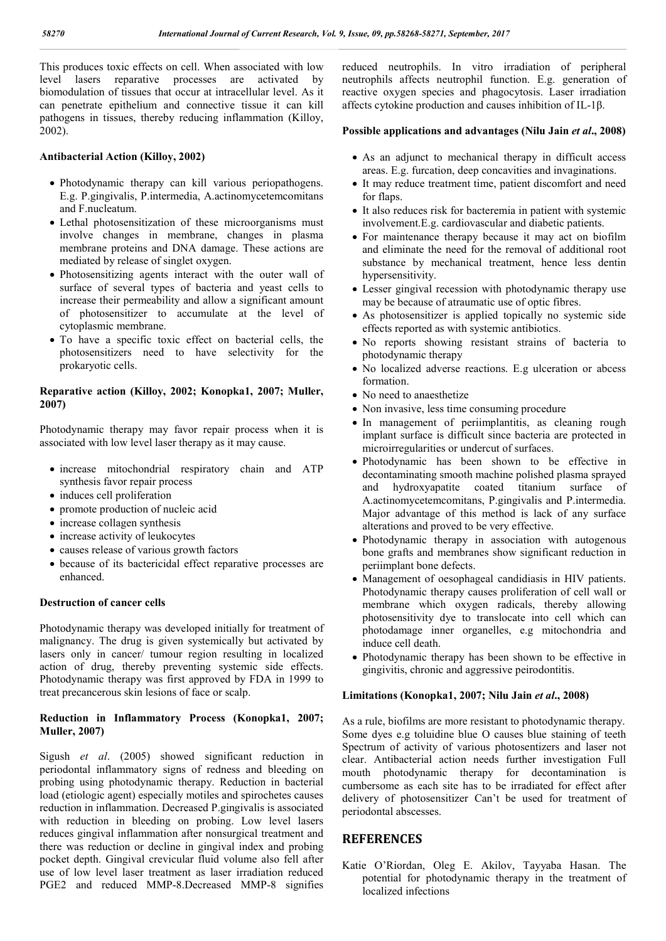This produces toxic effects on cell. When associated with low level lasers reparative processes are activated by biomodulation of tissues that occur at intracellular level. As it can penetrate epithelium and connective tissue it can kill pathogens in tissues, thereby reducing inflammation (Killoy, 2002).

### **Antibacterial Action (Killoy, 2002)**

- Photodynamic therapy can kill various periopathogens. E.g. P.gingivalis, P.intermedia, A.actinomycetemcomitans and F.nucleatum.
- Lethal photosensitization of these microorganisms must involve changes in membrane, changes in plasma membrane proteins and DNA damage. These actions are mediated by release of singlet oxygen.
- Photosensitizing agents interact with the outer wall of surface of several types of bacteria and yeast cells to increase their permeability and allow a significant amount of photosensitizer to accumulate at the level of cytoplasmic membrane.
- To have a specific toxic effect on bacterial cells, the photosensitizers need to have selectivity for the prokaryotic cells.

### **Reparative action (Killoy, 2002; Konopka1, 2007; Muller, 2007)**

Photodynamic therapy may favor repair process when it is associated with low level laser therapy as it may cause.

- $\bullet$  increase mitochondrial respiratory chain and ATP synthesis favor repair process
- induces cell proliferation
- promote production of nucleic acid
- increase collagen synthesis
- increase activity of leukocytes
- causes release of various growth factors
- because of its bactericidal effect reparative processes are enhanced.

### **Destruction of cancer cells**

Photodynamic therapy was developed initially for treatment of malignancy. The drug is given systemically but activated by lasers only in cancer/ tumour region resulting in localized action of drug, thereby preventing systemic side effects. Photodynamic therapy was first approved by FDA in 1999 to treat precancerous skin lesions of face or scalp.

### **Reduction in Inflammatory Process (Konopka1, 2007; Muller, 2007)**

Sigush *et al*. (2005) showed significant reduction in periodontal inflammatory signs of redness and bleeding on probing using photodynamic therapy. Reduction in bacterial load (etiologic agent) especially motiles and spirochetes causes reduction in inflammation. Decreased P.gingivalis is associated with reduction in bleeding on probing. Low level lasers reduces gingival inflammation after nonsurgical treatment and there was reduction or decline in gingival index and probing pocket depth. Gingival crevicular fluid volume also fell after use of low level laser treatment as laser irradiation reduced PGE2 and reduced MMP-8.Decreased MMP-8 signifies

reduced neutrophils. In vitro irradiation of peripheral neutrophils affects neutrophil function. E.g. generation of reactive oxygen species and phagocytosis. Laser irradiation affects cytokine production and causes inhibition of IL-1β.

### **Possible applications and advantages (Nilu Jain** *et al***., 2008)**

- As an adjunct to mechanical therapy in difficult access areas. E.g. furcation, deep concavities and invaginations.
- It may reduce treatment time, patient discomfort and need for flaps.
- It also reduces risk for bacteremia in patient with systemic involvement.E.g. cardiovascular and diabetic patients.
- For maintenance therapy because it may act on biofilm and eliminate the need for the removal of additional root substance by mechanical treatment, hence less dentin hypersensitivity.
- Lesser gingival recession with photodynamic therapy use may be because of atraumatic use of optic fibres.
- As photosensitizer is applied topically no systemic side effects reported as with systemic antibiotics.
- No reports showing resistant strains of bacteria to photodynamic therapy
- No localized adverse reactions. E.g ulceration or abcess formation.
- No need to anaesthetize
- Non invasive, less time consuming procedure
- In management of periimplantitis, as cleaning rough implant surface is difficult since bacteria are protected in microirregularities or undercut of surfaces.
- Photodynamic has been shown to be effective in decontaminating smooth machine polished plasma sprayed and hydroxyapatite coated titanium surface of A.actinomycetemcomitans, P.gingivalis and P.intermedia. Major advantage of this method is lack of any surface alterations and proved to be very effective.
- Photodynamic therapy in association with autogenous bone grafts and membranes show significant reduction in periimplant bone defects.
- Management of oesophageal candidiasis in HIV patients. Photodynamic therapy causes proliferation of cell wall or membrane which oxygen radicals, thereby allowing photosensitivity dye to translocate into cell which can photodamage inner organelles, e.g mitochondria and induce cell death.
- Photodynamic therapy has been shown to be effective in gingivitis, chronic and aggressive peirodontitis.

### **Limitations (Konopka1, 2007; Nilu Jain** *et al***., 2008)**

As a rule, biofilms are more resistant to photodynamic therapy. Some dyes e.g toluidine blue O causes blue staining of teeth Spectrum of activity of various photosentizers and laser not clear. Antibacterial action needs further investigation Full mouth photodynamic therapy for decontamination is cumbersome as each site has to be irradiated for effect after delivery of photosensitizer Can't be used for treatment of periodontal abscesses.

## **REFERENCES**

Katie O'Riordan, Oleg E. Akilov, Tayyaba Hasan. The potential for photodynamic therapy in the treatment of localized infections